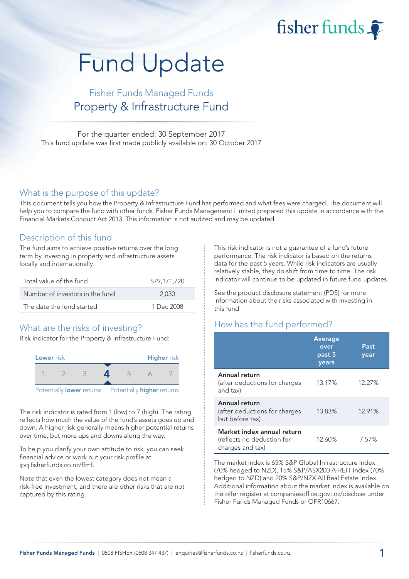fisher funds

# Fund Update

## Fisher Funds Managed Funds Property & Infrastructure Fund

For the quarter ended: 30 September 2017 This fund update was first made publicly available on: 30 October 2017

#### What is the purpose of this update?

This document tells you how the Property & Infrastructure Fund has performed and what fees were charged. The document will help you to compare the fund with other funds. Fisher Funds Management Limited prepared this update in accordance with the Financial Markets Conduct Act 2013. This information is not audited and may be updated.

#### Description of this fund

The fund aims to achieve positive returns over the long term by investing in property and infrastructure assets locally and internationally.

| Total value of the fund         | \$79,171,720 |
|---------------------------------|--------------|
| Number of investors in the fund | 2.030        |
| The date the fund started       | 1 Dec 2008   |

## What are the risks of investing?

Risk indicator for the Property & Infrastructure Fund:



The risk indicator is rated from 1 (low) to 7 (high). The rating reflects how much the value of the fund's assets goes up and down. A higher risk generally means higher potential returns over time, but more ups and downs along the way.

To help you clarify your own attitude to risk, you can seek financial advice or work out your risk profile at [ipq.fisherfunds.co.nz/ffmf.](https://ipq.fisherfunds.co.nz/ffmf)

Note that even the lowest category does not mean a risk-free investment, and there are other risks that are not captured by this rating.

This risk indicator is not a guarantee of a fund's future performance. The risk indicator is based on the returns data for the past 5 years. While risk indicators are usually relatively stable, they do shift from time to time. The risk indicator will continue to be updated in future fund updates.

See the [product disclosure statement \(PDS\)](https://fisherfunds.co.nz/assets/PDS/Fisher-Funds-Managed-Funds-PDS.pdf) for more information about the risks associated with investing in this fund.

## How has the fund performed?

|                                                                              | <b>Average</b><br>over<br>past 5<br>years | Past<br>year |
|------------------------------------------------------------------------------|-------------------------------------------|--------------|
| Annual return<br>(after deductions for charges<br>and tax)                   | 13.17%                                    | 12.27%       |
| Annual return<br>(after deductions for charges<br>but before tax)            | 13.83%                                    | 12.91%       |
| Market index annual return<br>(reflects no deduction for<br>charges and tax) | 12.60%                                    | 7.57%        |

The market index is 65% S&P Global Infrastructure Index (70% hedged to NZD), 15% S&P/ASX200 A-REIT Index (70% hedged to NZD) and 20% S&P/NZX All Real Estate Index. Additional information about the market index is available on the offer register at [companiesoffice.govt.nz/disclose](http://companiesoffice.govt.nz/disclose) under Fisher Funds Managed Funds or OFR10667.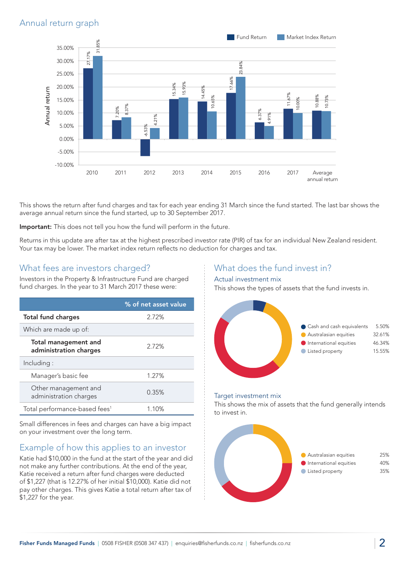### Annual return graph



This shows the return after fund charges and tax for each year ending 31 March since the fund started. The last bar shows the average annual return since the fund started, up to 30 September 2017.

Important: This does not tell you how the fund will perform in the future.

Returns in this update are after tax at the highest prescribed investor rate (PIR) of tax for an individual New Zealand resident. Your tax may be lower. The market index return reflects no deduction for charges and tax.

#### What fees are investors charged?

Investors in the Property & Infrastructure Fund are charged fund charges. In the year to 31 March 2017 these were:

|                                                       | % of net asset value |
|-------------------------------------------------------|----------------------|
| <b>Total fund charges</b>                             | 2.72%                |
| Which are made up of:                                 |                      |
| <b>Total management and</b><br>administration charges | 2.72%                |
| Including:                                            |                      |
| Manager's basic fee                                   | 1.27%                |
| Other management and<br>administration charges        | 0.35%                |
| Total performance-based fees <sup>1</sup>             | 1.10%                |

Small differences in fees and charges can have a big impact on your investment over the long term.

## Example of how this applies to an investor

Katie had \$10,000 in the fund at the start of the year and did not make any further contributions. At the end of the year, Katie received a return after fund charges were deducted of \$1,227 (that is 12.27% of her initial \$10,000). Katie did not pay other charges. This gives Katie a total return after tax of \$1,227 for the year.

#### What does the fund invest in?

#### Actual investment mix

This shows the types of assets that the fund invests in.



#### Target investment mix

This shows the mix of assets that the fund generally intends to invest in.